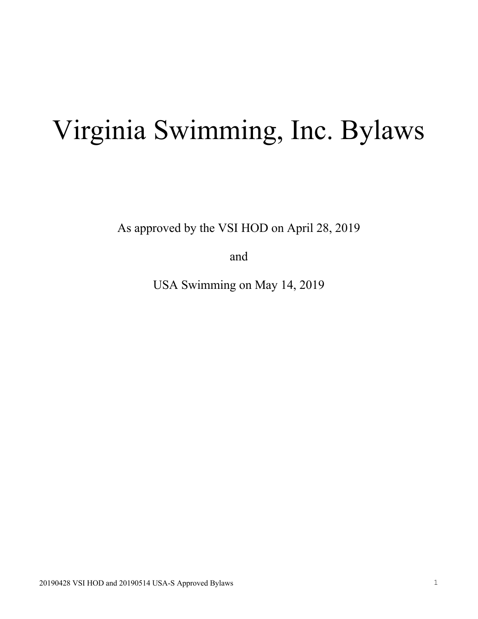# Virginia Swimming, Inc. Bylaws

As approved by the VSI HOD on April 28, 2019

and

USA Swimming on May 14, 2019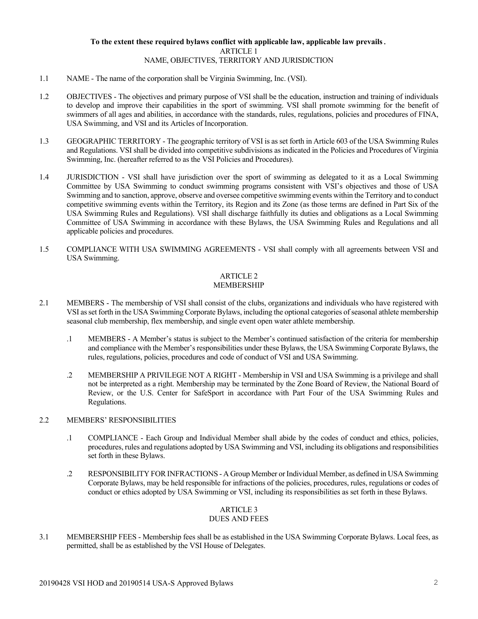## **To the extent these required bylaws conflict with applicable law, applicable law prevails.** ARTICLE 1 NAME, OBJECTIVES, TERRITORY AND JURISDICTION

- 1.1 NAME The name of the corporation shall be Virginia Swimming, Inc. (VSI).
- 1.2 OBJECTIVES The objectives and primary purpose of VSI shall be the education, instruction and training of individuals to develop and improve their capabilities in the sport of swimming. VSI shall promote swimming for the benefit of swimmers of all ages and abilities, in accordance with the standards, rules, regulations, policies and procedures of FINA, USA Swimming, and VSI and its Articles of Incorporation.
- 1.3 GEOGRAPHIC TERRITORY The geographic territory of VSI is as set forth in Article 603 of the USA Swimming Rules and Regulations. VSI shall be divided into competitive subdivisions as indicated in the Policies and Procedures of Virginia Swimming, Inc. (hereafter referred to as the VSI Policies and Procedures).
- 1.4 JURISDICTION VSI shall have jurisdiction over the sport of swimming as delegated to it as a Local Swimming Committee by USA Swimming to conduct swimming programs consistent with VSI's objectives and those of USA Swimming and to sanction, approve, observe and oversee competitive swimming events within the Territory and to conduct competitive swimming events within the Territory, its Region and its Zone (as those terms are defined in Part Six of the USA Swimming Rules and Regulations). VSI shall discharge faithfully its duties and obligations as a Local Swimming Committee of USA Swimming in accordance with these Bylaws, the USA Swimming Rules and Regulations and all applicable policies and procedures.
- 1.5 COMPLIANCE WITH USA SWIMMING AGREEMENTS VSI shall comply with all agreements between VSI and USA Swimming.

## ARTICLE 2 MEMBERSHIP

- 2.1 MEMBERS The membership of VSI shall consist of the clubs, organizations and individuals who have registered with VSI as set forth in the USA Swimming Corporate Bylaws, including the optional categories of seasonal athlete membership seasonal club membership, flex membership, and single event open water athlete membership.
	- .1 MEMBERS A Member's status is subject to the Member's continued satisfaction of the criteria for membership and compliance with the Member's responsibilities under these Bylaws, the USA Swimming Corporate Bylaws, the rules, regulations, policies, procedures and code of conduct of VSI and USA Swimming.
	- .2 MEMBERSHIP A PRIVILEGE NOT A RIGHT Membership in VSI and USA Swimming is a privilege and shall not be interpreted as a right. Membership may be terminated by the Zone Board of Review, the National Board of Review, or the U.S. Center for SafeSport in accordance with Part Four of the USA Swimming Rules and Regulations.

## 2.2 MEMBERS' RESPONSIBILITIES

- .1 COMPLIANCE Each Group and Individual Member shall abide by the codes of conduct and ethics, policies, procedures, rules and regulations adopted by USA Swimming and VSI, including its obligations and responsibilities set forth in these Bylaws.
- .2 RESPONSIBILITY FOR INFRACTIONS A Group Member or Individual Member, as defined in USA Swimming Corporate Bylaws, may be held responsible for infractions of the policies, procedures, rules, regulations or codes of conduct or ethics adopted by USA Swimming or VSI, including its responsibilities as set forth in these Bylaws.

# ARTICLE 3

## DUES AND FEES

3.1 MEMBERSHIP FEES - Membership fees shall be as established in the USA Swimming Corporate Bylaws. Local fees, as permitted, shall be as established by the VSI House of Delegates.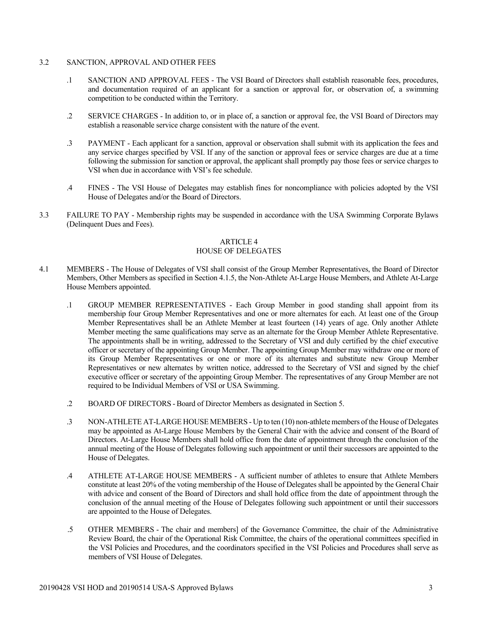## 3.2 SANCTION, APPROVAL AND OTHER FEES

- .1 SANCTION AND APPROVAL FEES The VSI Board of Directors shall establish reasonable fees, procedures, and documentation required of an applicant for a sanction or approval for, or observation of, a swimming competition to be conducted within the Territory.
- .2 SERVICE CHARGES In addition to, or in place of, a sanction or approval fee, the VSI Board of Directors may establish a reasonable service charge consistent with the nature of the event.
- .3 PAYMENT Each applicant for a sanction, approval or observation shall submit with its application the fees and any service charges specified by VSI. If any of the sanction or approval fees or service charges are due at a time following the submission for sanction or approval, the applicant shall promptly pay those fees or service charges to VSI when due in accordance with VSI's fee schedule.
- .4 FINES The VSI House of Delegates may establish fines for noncompliance with policies adopted by the VSI House of Delegates and/or the Board of Directors.
- 3.3 FAILURE TO PAY Membership rights may be suspended in accordance with the USA Swimming Corporate Bylaws (Delinquent Dues and Fees).

# ARTICLE 4

## HOUSE OF DELEGATES

- 4.1 MEMBERS The House of Delegates of VSI shall consist of the Group Member Representatives, the Board of Director Members, Other Members as specified in Section 4.1.5, the Non-Athlete At-Large House Members, and Athlete At-Large House Members appointed.
	- .1 GROUP MEMBER REPRESENTATIVES Each Group Member in good standing shall appoint from its membership four Group Member Representatives and one or more alternates for each. At least one of the Group Member Representatives shall be an Athlete Member at least fourteen (14) years of age. Only another Athlete Member meeting the same qualifications may serve as an alternate for the Group Member Athlete Representative. The appointments shall be in writing, addressed to the Secretary of VSI and duly certified by the chief executive officer or secretary of the appointing Group Member. The appointing Group Member may withdraw one or more of its Group Member Representatives or one or more of its alternates and substitute new Group Member Representatives or new alternates by written notice, addressed to the Secretary of VSI and signed by the chief executive officer or secretary of the appointing Group Member. The representatives of any Group Member are not required to be Individual Members of VSI or USA Swimming.
	- .2 BOARD OF DIRECTORS Board of Director Members as designated in Section 5.
	- .3 NON-ATHLETE AT-LARGE HOUSE MEMBERS Up to ten (10) non-athlete members of the House of Delegates may be appointed as At-Large House Members by the General Chair with the advice and consent of the Board of Directors. At-Large House Members shall hold office from the date of appointment through the conclusion of the annual meeting of the House of Delegates following such appointment or until their successors are appointed to the House of Delegates.
	- .4 ATHLETE AT-LARGE HOUSE MEMBERS A sufficient number of athletes to ensure that Athlete Members constitute at least 20% of the voting membership of the House of Delegates shall be appointed by the General Chair with advice and consent of the Board of Directors and shall hold office from the date of appointment through the conclusion of the annual meeting of the House of Delegates following such appointment or until their successors are appointed to the House of Delegates.
	- .5 OTHER MEMBERS The chair and members] of the Governance Committee, the chair of the Administrative Review Board, the chair of the Operational Risk Committee, the chairs of the operational committees specified in the VSI Policies and Procedures, and the coordinators specified in the VSI Policies and Procedures shall serve as members of VSI House of Delegates.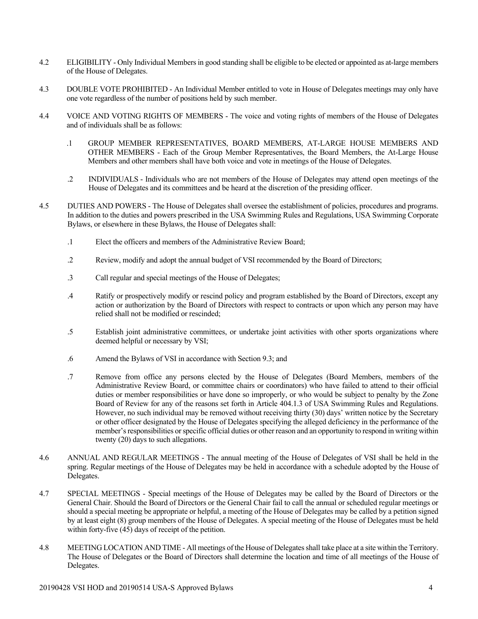- 4.2 ELIGIBILITY Only Individual Members in good standing shall be eligible to be elected or appointed as at-large members of the House of Delegates.
- 4.3 DOUBLE VOTE PROHIBITED An Individual Member entitled to vote in House of Delegates meetings may only have one vote regardless of the number of positions held by such member.
- 4.4 VOICE AND VOTING RIGHTS OF MEMBERS The voice and voting rights of members of the House of Delegates and of individuals shall be as follows:
	- .1 GROUP MEMBER REPRESENTATIVES, BOARD MEMBERS, AT-LARGE HOUSE MEMBERS AND OTHER MEMBERS - Each of the Group Member Representatives, the Board Members, the At-Large House Members and other members shall have both voice and vote in meetings of the House of Delegates.
	- .2 INDIVIDUALS Individuals who are not members of the House of Delegates may attend open meetings of the House of Delegates and its committees and be heard at the discretion of the presiding officer.
- 4.5 DUTIES AND POWERS The House of Delegates shall oversee the establishment of policies, procedures and programs. In addition to the duties and powers prescribed in the USA Swimming Rules and Regulations, USA Swimming Corporate Bylaws, or elsewhere in these Bylaws, the House of Delegates shall:
	- .1 Elect the officers and members of the Administrative Review Board;
	- .2 Review, modify and adopt the annual budget of VSI recommended by the Board of Directors;
	- .3 Call regular and special meetings of the House of Delegates;
	- .4 Ratify or prospectively modify or rescind policy and program established by the Board of Directors, except any action or authorization by the Board of Directors with respect to contracts or upon which any person may have relied shall not be modified or rescinded;
	- .5 Establish joint administrative committees, or undertake joint activities with other sports organizations where deemed helpful or necessary by VSI;
	- .6 Amend the Bylaws of VSI in accordance with Section 9.3; and
	- .7 Remove from office any persons elected by the House of Delegates (Board Members, members of the Administrative Review Board, or committee chairs or coordinators) who have failed to attend to their official duties or member responsibilities or have done so improperly, or who would be subject to penalty by the Zone Board of Review for any of the reasons set forth in Article 404.1.3 of USA Swimming Rules and Regulations. However, no such individual may be removed without receiving thirty (30) days' written notice by the Secretary or other officer designated by the House of Delegates specifying the alleged deficiency in the performance of the member's responsibilities or specific official duties or other reason and an opportunity to respond in writing within twenty (20) days to such allegations.
- 4.6 ANNUAL AND REGULAR MEETINGS The annual meeting of the House of Delegates of VSI shall be held in the spring. Regular meetings of the House of Delegates may be held in accordance with a schedule adopted by the House of Delegates.
- 4.7 SPECIAL MEETINGS Special meetings of the House of Delegates may be called by the Board of Directors or the General Chair. Should the Board of Directors or the General Chair fail to call the annual or scheduled regular meetings or should a special meeting be appropriate or helpful, a meeting of the House of Delegates may be called by a petition signed by at least eight (8) group members of the House of Delegates. A special meeting of the House of Delegates must be held within forty-five (45) days of receipt of the petition.
- 4.8 MEETING LOCATION AND TIME All meetings of the House of Delegates shall take place at a site within the Territory. The House of Delegates or the Board of Directors shall determine the location and time of all meetings of the House of Delegates.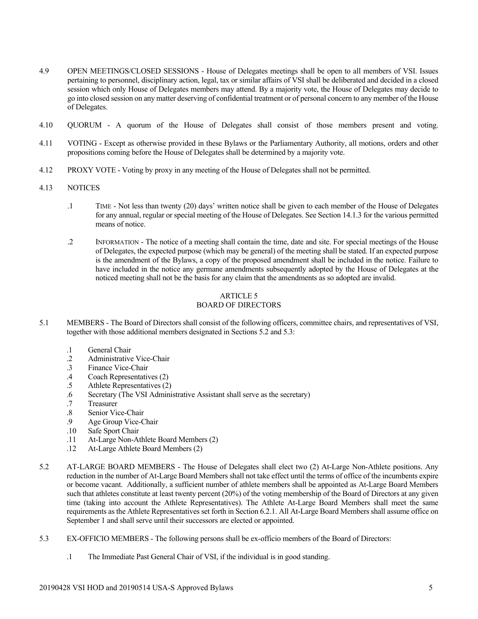- 4.9 OPEN MEETINGS/CLOSED SESSIONS House of Delegates meetings shall be open to all members of VSI. Issues pertaining to personnel, disciplinary action, legal, tax or similar affairs of VSI shall be deliberated and decided in a closed session which only House of Delegates members may attend. By a majority vote, the House of Delegates may decide to go into closed session on any matter deserving of confidential treatment or of personal concern to any member of the House of Delegates.
- 4.10 QUORUM A quorum of the House of Delegates shall consist of those members present and voting.
- 4.11 VOTING Except as otherwise provided in these Bylaws or the Parliamentary Authority, all motions, orders and other propositions coming before the House of Delegates shall be determined by a majority vote.
- 4.12 PROXY VOTE Voting by proxy in any meeting of the House of Delegates shall not be permitted.
- 4.13 NOTICES
	- .1 TIME Not less than twenty (20) days' written notice shall be given to each member of the House of Delegates for any annual, regular or special meeting of the House of Delegates. See Section 14.1.3 for the various permitted means of notice.
	- .2 INFORMATION The notice of a meeting shall contain the time, date and site. For special meetings of the House of Delegates, the expected purpose (which may be general) of the meeting shall be stated. If an expected purpose is the amendment of the Bylaws, a copy of the proposed amendment shall be included in the notice. Failure to have included in the notice any germane amendments subsequently adopted by the House of Delegates at the noticed meeting shall not be the basis for any claim that the amendments as so adopted are invalid.

#### ARTICLE 5 BOARD OF DIRECTORS

- 5.1 MEMBERS The Board of Directors shall consist of the following officers, committee chairs, and representatives of VSI, together with those additional members designated in Sections 5.2 and 5.3:
	- .1 General Chair
	- .2 Administrative Vice-Chair
	- .3 Finance Vice-Chair
	- .4 Coach Representatives (2)
	- .5 Athlete Representatives (2)
	- .6 Secretary (The VSI Administrative Assistant shall serve as the secretary)
	- .7 Treasurer
	- .8 Senior Vice-Chair
	- .9 Age Group Vice-Chair
	- .10 Safe Sport Chair
	- .11 At-Large Non-Athlete Board Members (2)
	- .12 At-Large Athlete Board Members (2)
- 5.2 AT-LARGE BOARD MEMBERS The House of Delegates shall elect two (2) At-Large Non-Athlete positions. Any reduction in the number of At-Large Board Members shall not take effect until the terms of office of the incumbents expire or become vacant. Additionally, a sufficient number of athlete members shall be appointed as At-Large Board Members such that athletes constitute at least twenty percent (20%) of the voting membership of the Board of Directors at any given time (taking into account the Athlete Representatives). The Athlete At-Large Board Members shall meet the same requirements as the Athlete Representatives set forth in Section 6.2.1. All At-Large Board Members shall assume office on September 1 and shall serve until their successors are elected or appointed.
- 5.3 EX-OFFICIO MEMBERS The following persons shall be ex-officio members of the Board of Directors:
	- .1 The Immediate Past General Chair of VSI, if the individual is in good standing.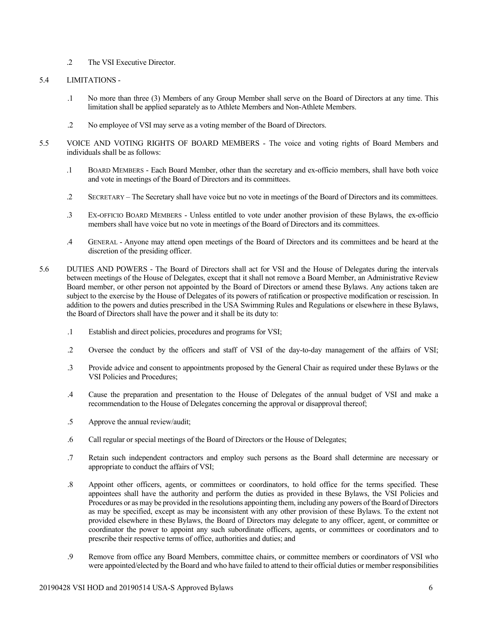.2 The VSI Executive Director.

## 5.4 LIMITATIONS -

- .1 No more than three (3) Members of any Group Member shall serve on the Board of Directors at any time. This limitation shall be applied separately as to Athlete Members and Non-Athlete Members.
- .2 No employee of VSI may serve as a voting member of the Board of Directors.
- 5.5 VOICE AND VOTING RIGHTS OF BOARD MEMBERS The voice and voting rights of Board Members and individuals shall be as follows:
	- .1 BOARD MEMBERS Each Board Member, other than the secretary and ex-officio members, shall have both voice and vote in meetings of the Board of Directors and its committees.
	- .2 SECRETARY The Secretary shall have voice but no vote in meetings of the Board of Directors and its committees.
	- .3 EX-OFFICIO BOARD MEMBERS Unless entitled to vote under another provision of these Bylaws, the ex-officio members shall have voice but no vote in meetings of the Board of Directors and its committees.
	- .4 GENERAL Anyone may attend open meetings of the Board of Directors and its committees and be heard at the discretion of the presiding officer.
- 5.6 DUTIES AND POWERS The Board of Directors shall act for VSI and the House of Delegates during the intervals between meetings of the House of Delegates, except that it shall not remove a Board Member, an Administrative Review Board member, or other person not appointed by the Board of Directors or amend these Bylaws. Any actions taken are subject to the exercise by the House of Delegates of its powers of ratification or prospective modification or rescission. In addition to the powers and duties prescribed in the USA Swimming Rules and Regulations or elsewhere in these Bylaws, the Board of Directors shall have the power and it shall be its duty to:
	- .1 Establish and direct policies, procedures and programs for VSI;
	- .2 Oversee the conduct by the officers and staff of VSI of the day-to-day management of the affairs of VSI;
	- .3 Provide advice and consent to appointments proposed by the General Chair as required under these Bylaws or the VSI Policies and Procedures;
	- .4 Cause the preparation and presentation to the House of Delegates of the annual budget of VSI and make a recommendation to the House of Delegates concerning the approval or disapproval thereof;
	- .5 Approve the annual review/audit;
	- .6 Call regular or special meetings of the Board of Directors or the House of Delegates;
	- .7 Retain such independent contractors and employ such persons as the Board shall determine are necessary or appropriate to conduct the affairs of VSI;
	- .8 Appoint other officers, agents, or committees or coordinators, to hold office for the terms specified. These appointees shall have the authority and perform the duties as provided in these Bylaws, the VSI Policies and Procedures or as may be provided in the resolutions appointing them, including any powers of the Board of Directors as may be specified, except as may be inconsistent with any other provision of these Bylaws. To the extent not provided elsewhere in these Bylaws, the Board of Directors may delegate to any officer, agent, or committee or coordinator the power to appoint any such subordinate officers, agents, or committees or coordinators and to prescribe their respective terms of office, authorities and duties; and
	- .9 Remove from office any Board Members, committee chairs, or committee members or coordinators of VSI who were appointed/elected by the Board and who have failed to attend to their official duties or member responsibilities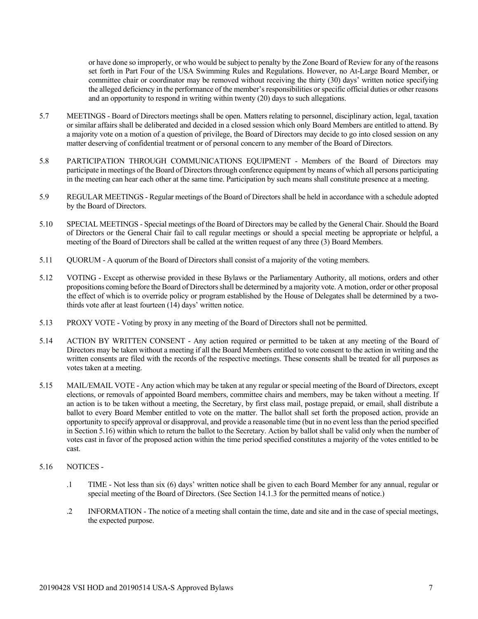or have done so improperly, or who would be subject to penalty by the Zone Board of Review for any of the reasons set forth in Part Four of the USA Swimming Rules and Regulations. However, no At-Large Board Member, or committee chair or coordinator may be removed without receiving the thirty (30) days' written notice specifying the alleged deficiency in the performance of the member's responsibilities or specific official duties or other reasons and an opportunity to respond in writing within twenty (20) days to such allegations.

- 5.7 MEETINGS Board of Directors meetings shall be open. Matters relating to personnel, disciplinary action, legal, taxation or similar affairs shall be deliberated and decided in a closed session which only Board Members are entitled to attend. By a majority vote on a motion of a question of privilege, the Board of Directors may decide to go into closed session on any matter deserving of confidential treatment or of personal concern to any member of the Board of Directors.
- 5.8 PARTICIPATION THROUGH COMMUNICATIONS EQUIPMENT Members of the Board of Directors may participate in meetings of the Board of Directors through conference equipment by means of which all persons participating in the meeting can hear each other at the same time. Participation by such means shall constitute presence at a meeting.
- 5.9 REGULAR MEETINGS Regular meetings of the Board of Directors shall be held in accordance with a schedule adopted by the Board of Directors.
- 5.10 SPECIAL MEETINGS Special meetings of the Board of Directors may be called by the General Chair. Should the Board of Directors or the General Chair fail to call regular meetings or should a special meeting be appropriate or helpful, a meeting of the Board of Directors shall be called at the written request of any three (3) Board Members.
- 5.11 QUORUM A quorum of the Board of Directors shall consist of a majority of the voting members.
- 5.12 VOTING Except as otherwise provided in these Bylaws or the Parliamentary Authority, all motions, orders and other propositions coming before the Board of Directors shall be determined by a majority vote. A motion, order or other proposal the effect of which is to override policy or program established by the House of Delegates shall be determined by a twothirds vote after at least fourteen (14) days' written notice.
- 5.13 PROXY VOTE Voting by proxy in any meeting of the Board of Directors shall not be permitted.
- 5.14 ACTION BY WRITTEN CONSENT Any action required or permitted to be taken at any meeting of the Board of Directors may be taken without a meeting if all the Board Members entitled to vote consent to the action in writing and the written consents are filed with the records of the respective meetings. These consents shall be treated for all purposes as votes taken at a meeting.
- 5.15 MAIL/EMAIL VOTE Any action which may be taken at any regular or special meeting of the Board of Directors, except elections, or removals of appointed Board members, committee chairs and members, may be taken without a meeting. If an action is to be taken without a meeting, the Secretary, by first class mail, postage prepaid, or email, shall distribute a ballot to every Board Member entitled to vote on the matter. The ballot shall set forth the proposed action, provide an opportunity to specify approval or disapproval, and provide a reasonable time (but in no event less than the period specified in Section 5.16) within which to return the ballot to the Secretary. Action by ballot shall be valid only when the number of votes cast in favor of the proposed action within the time period specified constitutes a majority of the votes entitled to be cast.
- 5.16 NOTICES
	- .1 TIME Not less than six (6) days' written notice shall be given to each Board Member for any annual, regular or special meeting of the Board of Directors. (See Section 14.1.3 for the permitted means of notice.)
	- .2 INFORMATION The notice of a meeting shall contain the time, date and site and in the case of special meetings, the expected purpose.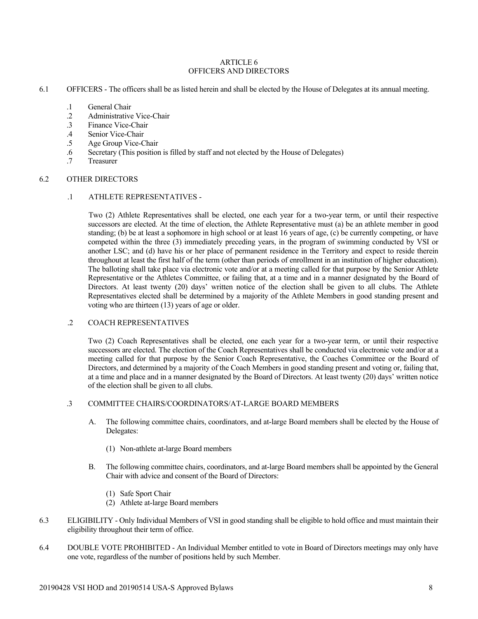#### ARTICLE 6 OFFICERS AND DIRECTORS

- 6.1 OFFICERS The officers shall be as listed herein and shall be elected by the House of Delegates at its annual meeting.
	- .1 General Chair
	- 2 Administrative Vice-Chair<br>3 Finance Vice-Chair
	- Finance Vice-Chair
	- .4 Senior Vice-Chair
	- .5 Age Group Vice-Chair
	- .6 Secretary (This position is filled by staff and not elected by the House of Delegates)
	- .7 Treasurer

#### 6.2 OTHER DIRECTORS

#### .1 ATHLETE REPRESENTATIVES -

Two (2) Athlete Representatives shall be elected, one each year for a two-year term, or until their respective successors are elected. At the time of election, the Athlete Representative must (a) be an athlete member in good standing; (b) be at least a sophomore in high school or at least 16 years of age, (c) be currently competing, or have competed within the three (3) immediately preceding years, in the program of swimming conducted by VSI or another LSC; and (d) have his or her place of permanent residence in the Territory and expect to reside therein throughout at least the first half of the term (other than periods of enrollment in an institution of higher education). The balloting shall take place via electronic vote and/or at a meeting called for that purpose by the Senior Athlete Representative or the Athletes Committee, or failing that, at a time and in a manner designated by the Board of Directors. At least twenty (20) days' written notice of the election shall be given to all clubs. The Athlete Representatives elected shall be determined by a majority of the Athlete Members in good standing present and voting who are thirteen (13) years of age or older.

## .2 COACH REPRESENTATIVES

Two (2) Coach Representatives shall be elected, one each year for a two-year term, or until their respective successors are elected. The election of the Coach Representatives shall be conducted via electronic vote and/or at a meeting called for that purpose by the Senior Coach Representative, the Coaches Committee or the Board of Directors, and determined by a majority of the Coach Members in good standing present and voting or, failing that, at a time and place and in a manner designated by the Board of Directors. At least twenty (20) days' written notice of the election shall be given to all clubs.

## .3 COMMITTEE CHAIRS/COORDINATORS/AT-LARGE BOARD MEMBERS

- A. The following committee chairs, coordinators, and at-large Board members shall be elected by the House of Delegates:
	- (1) Non-athlete at-large Board members
- B. The following committee chairs, coordinators, and at-large Board members shall be appointed by the General Chair with advice and consent of the Board of Directors:
	- (1) Safe Sport Chair
	- (2) Athlete at-large Board members
- 6.3 ELIGIBILITY Only Individual Members of VSI in good standing shall be eligible to hold office and must maintain their eligibility throughout their term of office.
- 6.4 DOUBLE VOTE PROHIBITED An Individual Member entitled to vote in Board of Directors meetings may only have one vote, regardless of the number of positions held by such Member.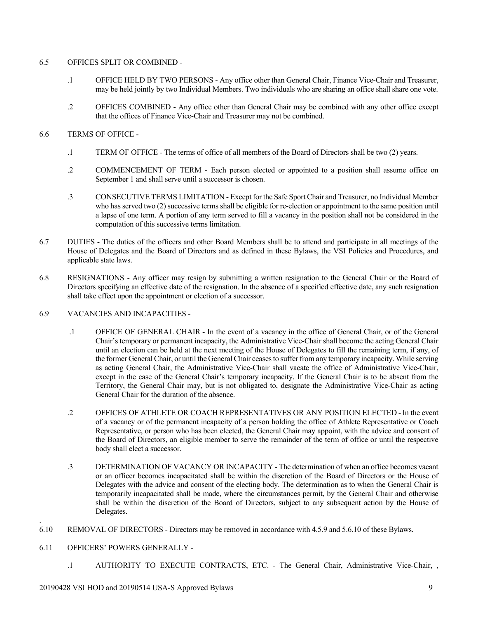## 6.5 OFFICES SPLIT OR COMBINED -

- .1 OFFICE HELD BY TWO PERSONS Any office other than General Chair, Finance Vice-Chair and Treasurer, may be held jointly by two Individual Members. Two individuals who are sharing an office shall share one vote.
- .2 OFFICES COMBINED Any office other than General Chair may be combined with any other office except that the offices of Finance Vice-Chair and Treasurer may not be combined.

## 6.6 TERMS OF OFFICE -

- .1 TERM OF OFFICE The terms of office of all members of the Board of Directors shall be two (2) years.
- .2 COMMENCEMENT OF TERM Each person elected or appointed to a position shall assume office on September 1 and shall serve until a successor is chosen.
- .3 CONSECUTIVE TERMS LIMITATION Except for the Safe Sport Chair and Treasurer, no Individual Member who has served two (2) successive terms shall be eligible for re-election or appointment to the same position until a lapse of one term. A portion of any term served to fill a vacancy in the position shall not be considered in the computation of this successive terms limitation.
- 6.7 DUTIES The duties of the officers and other Board Members shall be to attend and participate in all meetings of the House of Delegates and the Board of Directors and as defined in these Bylaws, the VSI Policies and Procedures, and applicable state laws.
- 6.8 RESIGNATIONS Any officer may resign by submitting a written resignation to the General Chair or the Board of Directors specifying an effective date of the resignation. In the absence of a specified effective date, any such resignation shall take effect upon the appointment or election of a successor.

## 6.9 VACANCIES AND INCAPACITIES -

- .1 OFFICE OF GENERAL CHAIR In the event of a vacancy in the office of General Chair, or of the General Chair's temporary or permanent incapacity, the Administrative Vice-Chair shall become the acting General Chair until an election can be held at the next meeting of the House of Delegates to fill the remaining term, if any, of the former General Chair, or until the General Chair ceases to suffer from any temporary incapacity. While serving as acting General Chair, the Administrative Vice-Chair shall vacate the office of Administrative Vice-Chair, except in the case of the General Chair's temporary incapacity. If the General Chair is to be absent from the Territory, the General Chair may, but is not obligated to, designate the Administrative Vice-Chair as acting General Chair for the duration of the absence.
- .2 OFFICES OF ATHLETE OR COACH REPRESENTATIVES OR ANY POSITION ELECTED In the event of a vacancy or of the permanent incapacity of a person holding the office of Athlete Representative or Coach Representative, or person who has been elected, the General Chair may appoint, with the advice and consent of the Board of Directors, an eligible member to serve the remainder of the term of office or until the respective body shall elect a successor.
- .3 DETERMINATION OF VACANCY OR INCAPACITY The determination of when an office becomes vacant or an officer becomes incapacitated shall be within the discretion of the Board of Directors or the House of Delegates with the advice and consent of the electing body. The determination as to when the General Chair is temporarily incapacitated shall be made, where the circumstances permit, by the General Chair and otherwise shall be within the discretion of the Board of Directors, subject to any subsequent action by the House of Delegates.
- 6.10 REMOVAL OF DIRECTORS Directors may be removed in accordance with 4.5.9 and 5.6.10 of these Bylaws.
- 6.11 OFFICERS' POWERS GENERALLY -

.

.1 AUTHORITY TO EXECUTE CONTRACTS, ETC. - The General Chair, Administrative Vice-Chair, ,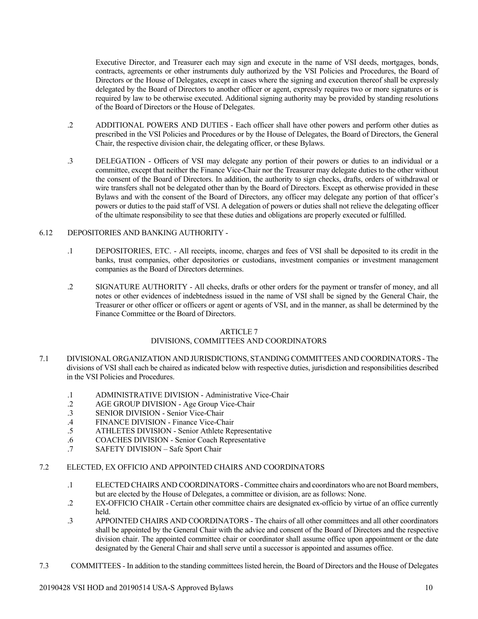Executive Director, and Treasurer each may sign and execute in the name of VSI deeds, mortgages, bonds, contracts, agreements or other instruments duly authorized by the VSI Policies and Procedures, the Board of Directors or the House of Delegates, except in cases where the signing and execution thereof shall be expressly delegated by the Board of Directors to another officer or agent, expressly requires two or more signatures or is required by law to be otherwise executed. Additional signing authority may be provided by standing resolutions of the Board of Directors or the House of Delegates.

- .2 ADDITIONAL POWERS AND DUTIES Each officer shall have other powers and perform other duties as prescribed in the VSI Policies and Procedures or by the House of Delegates, the Board of Directors, the General Chair, the respective division chair, the delegating officer, or these Bylaws.
- .3 DELEGATION Officers of VSI may delegate any portion of their powers or duties to an individual or a committee, except that neither the Finance Vice-Chair nor the Treasurer may delegate duties to the other without the consent of the Board of Directors. In addition, the authority to sign checks, drafts, orders of withdrawal or wire transfers shall not be delegated other than by the Board of Directors. Except as otherwise provided in these Bylaws and with the consent of the Board of Directors, any officer may delegate any portion of that officer's powers or duties to the paid staff of VSI. A delegation of powers or duties shall not relieve the delegating officer of the ultimate responsibility to see that these duties and obligations are properly executed or fulfilled.

#### 6.12 DEPOSITORIES AND BANKING AUTHORITY -

- .1 DEPOSITORIES, ETC. All receipts, income, charges and fees of VSI shall be deposited to its credit in the banks, trust companies, other depositories or custodians, investment companies or investment management companies as the Board of Directors determines.
- .2 SIGNATURE AUTHORITY All checks, drafts or other orders for the payment or transfer of money, and all notes or other evidences of indebtedness issued in the name of VSI shall be signed by the General Chair, the Treasurer or other officer or officers or agent or agents of VSI, and in the manner, as shall be determined by the Finance Committee or the Board of Directors.

#### ARTICLE 7

## DIVISIONS, COMMITTEES AND COORDINATORS

- 7.1 DIVISIONAL ORGANIZATION AND JURISDICTIONS, STANDING COMMITTEES AND COORDINATORS The divisions of VSI shall each be chaired as indicated below with respective duties, jurisdiction and responsibilities described in the VSI Policies and Procedures.
	- .1 ADMINISTRATIVE DIVISION Administrative Vice-Chair<br>2 AGE GROUP DIVISION Age Group Vice-Chair
	- AGE GROUP DIVISION Age Group Vice-Chair
	- .3 SENIOR DIVISION Senior Vice-Chair
	- .4 FINANCE DIVISION Finance Vice-Chair
	- .5 ATHLETES DIVISION Senior Athlete Representative
	- .6 COACHES DIVISION Senior Coach Representative
	- .7 SAFETY DIVISION Safe Sport Chair

#### 7.2 ELECTED, EX OFFICIO AND APPOINTED CHAIRS AND COORDINATORS

- .1 ELECTED CHAIRS AND COORDINATORS Committee chairs and coordinators who are not Board members, but are elected by the House of Delegates, a committee or division, are as follows: None.
- .2 EX-OFFICIO CHAIR Certain other committee chairs are designated ex-officio by virtue of an office currently held.
- .3 APPOINTED CHAIRS AND COORDINATORS The chairs of all other committees and all other coordinators shall be appointed by the General Chair with the advice and consent of the Board of Directors and the respective division chair. The appointed committee chair or coordinator shall assume office upon appointment or the date designated by the General Chair and shall serve until a successor is appointed and assumes office.
- 7.3 COMMITTEES In addition to the standing committees listed herein, the Board of Directors and the House of Delegates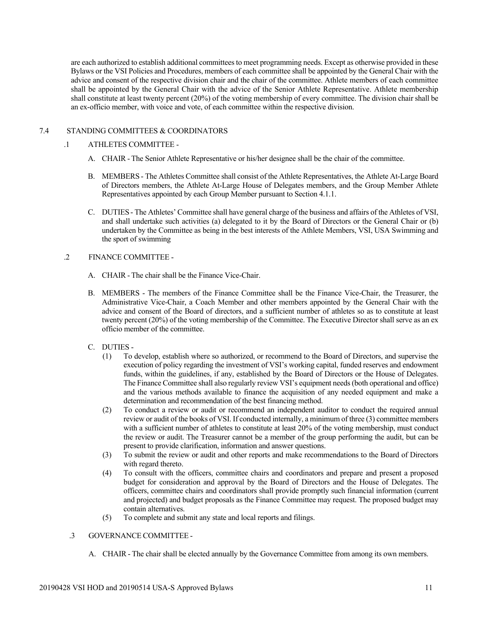are each authorized to establish additional committees to meet programming needs. Except as otherwise provided in these Bylaws or the VSI Policies and Procedures, members of each committee shall be appointed by the General Chair with the advice and consent of the respective division chair and the chair of the committee. Athlete members of each committee shall be appointed by the General Chair with the advice of the Senior Athlete Representative. Athlete membership shall constitute at least twenty percent (20%) of the voting membership of every committee. The division chair shall be an ex-officio member, with voice and vote, of each committee within the respective division.

#### 7.4 STANDING COMMITTEES & COORDINATORS

#### .1 ATHLETES COMMITTEE -

- A. CHAIR The Senior Athlete Representative or his/her designee shall be the chair of the committee.
- B. MEMBERS The Athletes Committee shall consist of the Athlete Representatives, the Athlete At-Large Board of Directors members, the Athlete At-Large House of Delegates members, and the Group Member Athlete Representatives appointed by each Group Member pursuant to Section 4.1.1.
- C. DUTIES The Athletes' Committee shall have general charge of the business and affairs of the Athletes of VSI, and shall undertake such activities (a) delegated to it by the Board of Directors or the General Chair or (b) undertaken by the Committee as being in the best interests of the Athlete Members, VSI, USA Swimming and the sport of swimming

#### .2 FINANCE COMMITTEE -

- A. CHAIR The chair shall be the Finance Vice-Chair.
- B. MEMBERS The members of the Finance Committee shall be the Finance Vice-Chair, the Treasurer, the Administrative Vice-Chair, a Coach Member and other members appointed by the General Chair with the advice and consent of the Board of directors, and a sufficient number of athletes so as to constitute at least twenty percent (20%) of the voting membership of the Committee. The Executive Director shall serve as an ex officio member of the committee.
- C. DUTIES
	- (1) To develop, establish where so authorized, or recommend to the Board of Directors, and supervise the execution of policy regarding the investment of VSI's working capital, funded reserves and endowment funds, within the guidelines, if any, established by the Board of Directors or the House of Delegates. The Finance Committee shall also regularly review VSI's equipment needs (both operational and office) and the various methods available to finance the acquisition of any needed equipment and make a determination and recommendation of the best financing method.
	- (2) To conduct a review or audit or recommend an independent auditor to conduct the required annual review or audit of the books of VSI. If conducted internally, a minimum of three (3) committee members with a sufficient number of athletes to constitute at least 20% of the voting membership, must conduct the review or audit. The Treasurer cannot be a member of the group performing the audit, but can be present to provide clarification, information and answer questions.
	- (3) To submit the review or audit and other reports and make recommendations to the Board of Directors with regard thereto.
	- (4) To consult with the officers, committee chairs and coordinators and prepare and present a proposed budget for consideration and approval by the Board of Directors and the House of Delegates. The officers, committee chairs and coordinators shall provide promptly such financial information (current and projected) and budget proposals as the Finance Committee may request. The proposed budget may contain alternatives.
	- (5) To complete and submit any state and local reports and filings.

## .3 GOVERNANCE COMMITTEE -

A. CHAIR - The chair shall be elected annually by the Governance Committee from among its own members.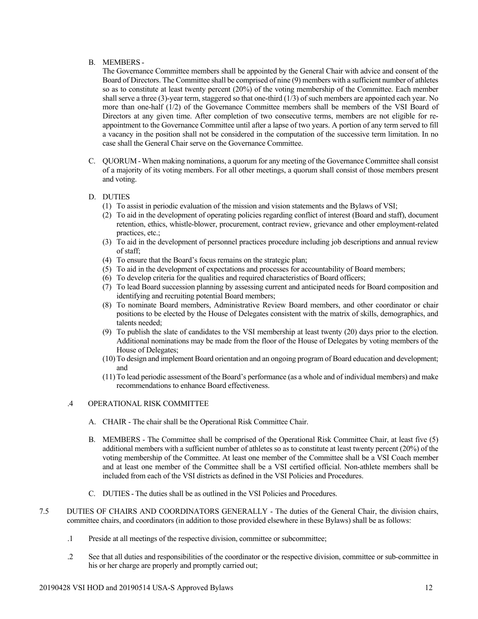## B. MEMBERS -

The Governance Committee members shall be appointed by the General Chair with advice and consent of the Board of Directors. The Committee shall be comprised of nine (9) members with a sufficient number of athletes so as to constitute at least twenty percent (20%) of the voting membership of the Committee. Each member shall serve a three (3)-year term, staggered so that one-third (1/3) of such members are appointed each year. No more than one-half (1/2) of the Governance Committee members shall be members of the VSI Board of Directors at any given time. After completion of two consecutive terms, members are not eligible for reappointment to the Governance Committee until after a lapse of two years. A portion of any term served to fill a vacancy in the position shall not be considered in the computation of the successive term limitation. In no case shall the General Chair serve on the Governance Committee.

C. QUORUM -When making nominations, a quorum for any meeting of the Governance Committee shall consist of a majority of its voting members. For all other meetings, a quorum shall consist of those members present and voting.

## D. DUTIES

- (1) To assist in periodic evaluation of the mission and vision statements and the Bylaws of VSI;
- (2) To aid in the development of operating policies regarding conflict of interest (Board and staff), document retention, ethics, whistle-blower, procurement, contract review, grievance and other employment-related practices, etc.;
- (3) To aid in the development of personnel practices procedure including job descriptions and annual review of staff;
- (4) To ensure that the Board's focus remains on the strategic plan;
- (5) To aid in the development of expectations and processes for accountability of Board members;
- (6) To develop criteria for the qualities and required characteristics of Board officers;
- (7) To lead Board succession planning by assessing current and anticipated needs for Board composition and identifying and recruiting potential Board members;
- (8) To nominate Board members, Administrative Review Board members, and other coordinator or chair positions to be elected by the House of Delegates consistent with the matrix of skills, demographics, and talents needed;
- (9) To publish the slate of candidates to the VSI membership at least twenty (20) days prior to the election. Additional nominations may be made from the floor of the House of Delegates by voting members of the House of Delegates;
- (10) To design and implement Board orientation and an ongoing program of Board education and development; and
- (11) To lead periodic assessment of the Board's performance (as a whole and of individual members) and make recommendations to enhance Board effectiveness.

## .4 OPERATIONAL RISK COMMITTEE

- A. CHAIR The chair shall be the Operational Risk Committee Chair.
- B. MEMBERS The Committee shall be comprised of the Operational Risk Committee Chair, at least five (5) additional members with a sufficient number of athletes so as to constitute at least twenty percent (20%) of the voting membership of the Committee. At least one member of the Committee shall be a VSI Coach member and at least one member of the Committee shall be a VSI certified official. Non-athlete members shall be included from each of the VSI districts as defined in the VSI Policies and Procedures.
- C. DUTIES The duties shall be as outlined in the VSI Policies and Procedures.
- 7.5 DUTIES OF CHAIRS AND COORDINATORS GENERALLY The duties of the General Chair, the division chairs, committee chairs, and coordinators (in addition to those provided elsewhere in these Bylaws) shall be as follows:
	- .1 Preside at all meetings of the respective division, committee or subcommittee;
	- .2 See that all duties and responsibilities of the coordinator or the respective division, committee or sub-committee in his or her charge are properly and promptly carried out;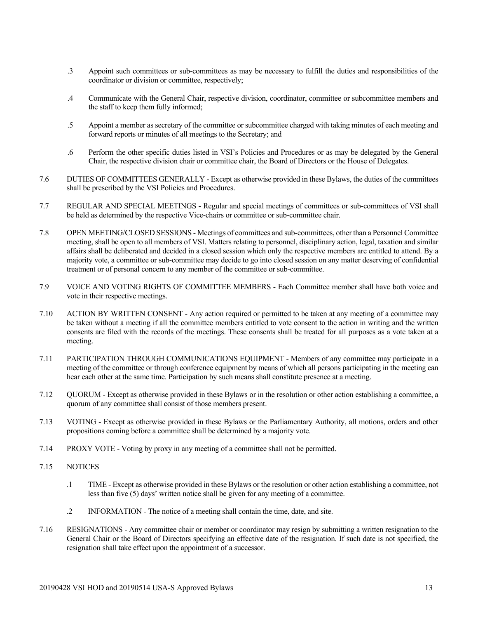- .3 Appoint such committees or sub-committees as may be necessary to fulfill the duties and responsibilities of the coordinator or division or committee, respectively;
- .4 Communicate with the General Chair, respective division, coordinator, committee or subcommittee members and the staff to keep them fully informed;
- .5 Appoint a member as secretary of the committee or subcommittee charged with taking minutes of each meeting and forward reports or minutes of all meetings to the Secretary; and
- .6 Perform the other specific duties listed in VSI's Policies and Procedures or as may be delegated by the General Chair, the respective division chair or committee chair, the Board of Directors or the House of Delegates.
- 7.6 DUTIES OF COMMITTEES GENERALLY Except as otherwise provided in these Bylaws, the duties of the committees shall be prescribed by the VSI Policies and Procedures.
- 7.7 REGULAR AND SPECIAL MEETINGS Regular and special meetings of committees or sub-committees of VSI shall be held as determined by the respective Vice-chairs or committee or sub-committee chair.
- 7.8 OPEN MEETING/CLOSED SESSIONS Meetings of committees and sub-committees, other than a Personnel Committee meeting, shall be open to all members of VSI. Matters relating to personnel, disciplinary action, legal, taxation and similar affairs shall be deliberated and decided in a closed session which only the respective members are entitled to attend. By a majority vote, a committee or sub-committee may decide to go into closed session on any matter deserving of confidential treatment or of personal concern to any member of the committee or sub-committee.
- 7.9 VOICE AND VOTING RIGHTS OF COMMITTEE MEMBERS Each Committee member shall have both voice and vote in their respective meetings.
- 7.10 ACTION BY WRITTEN CONSENT Any action required or permitted to be taken at any meeting of a committee may be taken without a meeting if all the committee members entitled to vote consent to the action in writing and the written consents are filed with the records of the meetings. These consents shall be treated for all purposes as a vote taken at a meeting.
- 7.11 PARTICIPATION THROUGH COMMUNICATIONS EQUIPMENT Members of any committee may participate in a meeting of the committee or through conference equipment by means of which all persons participating in the meeting can hear each other at the same time. Participation by such means shall constitute presence at a meeting.
- 7.12 QUORUM Except as otherwise provided in these Bylaws or in the resolution or other action establishing a committee, a quorum of any committee shall consist of those members present.
- 7.13 VOTING Except as otherwise provided in these Bylaws or the Parliamentary Authority, all motions, orders and other propositions coming before a committee shall be determined by a majority vote.
- 7.14 PROXY VOTE Voting by proxy in any meeting of a committee shall not be permitted.
- 7.15 NOTICES
	- .1 TIME Except as otherwise provided in these Bylaws or the resolution or other action establishing a committee, not less than five (5) days' written notice shall be given for any meeting of a committee.
	- .2 INFORMATION The notice of a meeting shall contain the time, date, and site.
- 7.16 RESIGNATIONS Any committee chair or member or coordinator may resign by submitting a written resignation to the General Chair or the Board of Directors specifying an effective date of the resignation. If such date is not specified, the resignation shall take effect upon the appointment of a successor.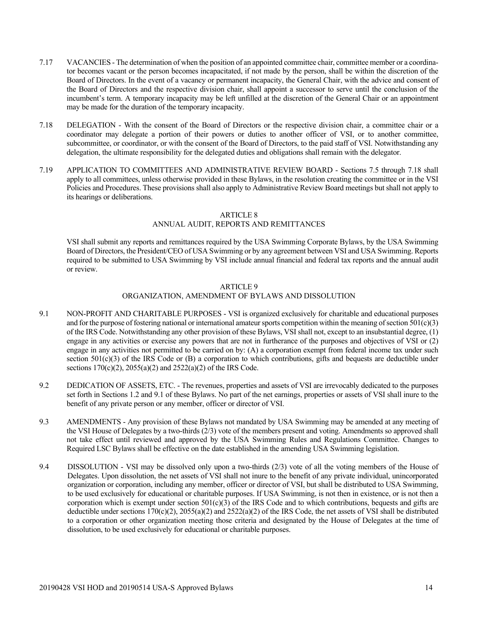- 7.17 VACANCIES The determination of when the position of an appointed committee chair, committee member or a coordinator becomes vacant or the person becomes incapacitated, if not made by the person, shall be within the discretion of the Board of Directors. In the event of a vacancy or permanent incapacity, the General Chair, with the advice and consent of the Board of Directors and the respective division chair, shall appoint a successor to serve until the conclusion of the incumbent's term. A temporary incapacity may be left unfilled at the discretion of the General Chair or an appointment may be made for the duration of the temporary incapacity.
- 7.18 DELEGATION With the consent of the Board of Directors or the respective division chair, a committee chair or a coordinator may delegate a portion of their powers or duties to another officer of VSI, or to another committee, subcommittee, or coordinator, or with the consent of the Board of Directors, to the paid staff of VSI. Notwithstanding any delegation, the ultimate responsibility for the delegated duties and obligations shall remain with the delegator.
- 7.19 APPLICATION TO COMMITTEES AND ADMINISTRATIVE REVIEW BOARD Sections 7.5 through 7.18 shall apply to all committees, unless otherwise provided in these Bylaws, in the resolution creating the committee or in the VSI Policies and Procedures. These provisions shall also apply to Administrative Review Board meetings but shall not apply to its hearings or deliberations.

## ARTICLE 8

## ANNUAL AUDIT, REPORTS AND REMITTANCES

VSI shall submit any reports and remittances required by the USA Swimming Corporate Bylaws, by the USA Swimming Board of Directors, the President/CEO of USA Swimming or by any agreement between VSI and USA Swimming. Reports required to be submitted to USA Swimming by VSI include annual financial and federal tax reports and the annual audit or review.

## ARTICLE 9

## ORGANIZATION, AMENDMENT OF BYLAWS AND DISSOLUTION

- 9.1 NON-PROFIT AND CHARITABLE PURPOSES VSI is organized exclusively for charitable and educational purposes and for the purpose of fostering national or international amateur sports competition within the meaning of section  $\frac{1}{0}01(c)(3)$ of the IRS Code. Notwithstanding any other provision of these Bylaws, VSI shall not, except to an insubstantial degree, (1) engage in any activities or exercise any powers that are not in furtherance of the purposes and objectives of VSI or (2) engage in any activities not permitted to be carried on by: (A) a corporation exempt from federal income tax under such section  $501(c)(3)$  of the IRS Code or  $(B)$  a corporation to which contributions, gifts and bequests are deductible under sections 170(c)(2), 2055(a)(2) and 2522(a)(2) of the IRS Code.
- 9.2 DEDICATION OF ASSETS, ETC. The revenues, properties and assets of VSI are irrevocably dedicated to the purposes set forth in Sections 1.2 and 9.1 of these Bylaws. No part of the net earnings, properties or assets of VSI shall inure to the benefit of any private person or any member, officer or director of VSI.
- 9.3 AMENDMENTS Any provision of these Bylaws not mandated by USA Swimming may be amended at any meeting of the VSI House of Delegates by a two-thirds (2/3) vote of the members present and voting. Amendments so approved shall not take effect until reviewed and approved by the USA Swimming Rules and Regulations Committee. Changes to Required LSC Bylaws shall be effective on the date established in the amending USA Swimming legislation.
- 9.4 DISSOLUTION VSI may be dissolved only upon a two-thirds (2/3) vote of all the voting members of the House of Delegates. Upon dissolution, the net assets of VSI shall not inure to the benefit of any private individual, unincorporated organization or corporation, including any member, officer or director of VSI, but shall be distributed to USA Swimming, to be used exclusively for educational or charitable purposes. If USA Swimming, is not then in existence, or is not then a corporation which is exempt under section  $501(c)(3)$  of the IRS Code and to which contributions, bequests and gifts are deductible under sections 170(c)(2), 2055(a)(2) and 2522(a)(2) of the IRS Code, the net assets of VSI shall be distributed to a corporation or other organization meeting those criteria and designated by the House of Delegates at the time of dissolution, to be used exclusively for educational or charitable purposes.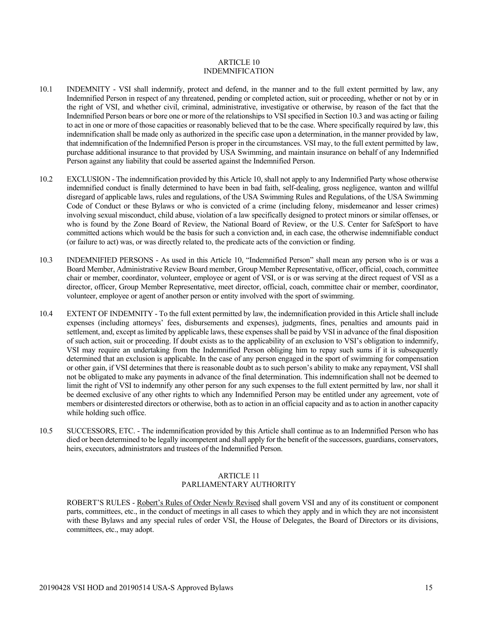#### ARTICLE 10 INDEMNIFICATION

- 10.1 INDEMNITY VSI shall indemnify, protect and defend, in the manner and to the full extent permitted by law, any Indemnified Person in respect of any threatened, pending or completed action, suit or proceeding, whether or not by or in the right of VSI, and whether civil, criminal, administrative, investigative or otherwise, by reason of the fact that the Indemnified Person bears or bore one or more of the relationships to VSI specified in Section 10.3 and was acting or failing to act in one or more of those capacities or reasonably believed that to be the case. Where specifically required by law, this indemnification shall be made only as authorized in the specific case upon a determination, in the manner provided by law, that indemnification of the Indemnified Person is proper in the circumstances. VSI may, to the full extent permitted by law, purchase additional insurance to that provided by USA Swimming, and maintain insurance on behalf of any Indemnified Person against any liability that could be asserted against the Indemnified Person.
- 10.2 EXCLUSION The indemnification provided by this Article 10, shall not apply to any Indemnified Party whose otherwise indemnified conduct is finally determined to have been in bad faith, self-dealing, gross negligence, wanton and willful disregard of applicable laws, rules and regulations, of the USA Swimming Rules and Regulations, of the USA Swimming Code of Conduct or these Bylaws or who is convicted of a crime (including felony, misdemeanor and lesser crimes) involving sexual misconduct, child abuse, violation of a law specifically designed to protect minors or similar offenses, or who is found by the Zone Board of Review, the National Board of Review, or the U.S. Center for SafeSport to have committed actions which would be the basis for such a conviction and, in each case, the otherwise indemnifiable conduct (or failure to act) was, or was directly related to, the predicate acts of the conviction or finding.
- 10.3 INDEMNIFIED PERSONS As used in this Article 10, "Indemnified Person" shall mean any person who is or was a Board Member, Administrative Review Board member, Group Member Representative, officer, official, coach, committee chair or member, coordinator, volunteer, employee or agent of VSI, or is or was serving at the direct request of VSI as a director, officer, Group Member Representative, meet director, official, coach, committee chair or member, coordinator, volunteer, employee or agent of another person or entity involved with the sport of swimming.
- 10.4 EXTENT OF INDEMNITY To the full extent permitted by law, the indemnification provided in this Article shall include expenses (including attorneys' fees, disbursements and expenses), judgments, fines, penalties and amounts paid in settlement, and, except as limited by applicable laws, these expenses shall be paid by VSI in advance of the final disposition of such action, suit or proceeding. If doubt exists as to the applicability of an exclusion to VSI's obligation to indemnify, VSI may require an undertaking from the Indemnified Person obliging him to repay such sums if it is subsequently determined that an exclusion is applicable. In the case of any person engaged in the sport of swimming for compensation or other gain, if VSI determines that there is reasonable doubt as to such person's ability to make any repayment, VSI shall not be obligated to make any payments in advance of the final determination. This indemnification shall not be deemed to limit the right of VSI to indemnify any other person for any such expenses to the full extent permitted by law, nor shall it be deemed exclusive of any other rights to which any Indemnified Person may be entitled under any agreement, vote of members or disinterested directors or otherwise, both as to action in an official capacity and as to action in another capacity while holding such office.
- 10.5 SUCCESSORS, ETC. The indemnification provided by this Article shall continue as to an Indemnified Person who has died or been determined to be legally incompetent and shall apply for the benefit of the successors, guardians, conservators, heirs, executors, administrators and trustees of the Indemnified Person.

#### ARTICLE 11 PARLIAMENTARY AUTHORITY

ROBERT'S RULES - Robert's Rules of Order Newly Revised shall govern VSI and any of its constituent or component parts, committees, etc., in the conduct of meetings in all cases to which they apply and in which they are not inconsistent with these Bylaws and any special rules of order VSI, the House of Delegates, the Board of Directors or its divisions, committees, etc., may adopt.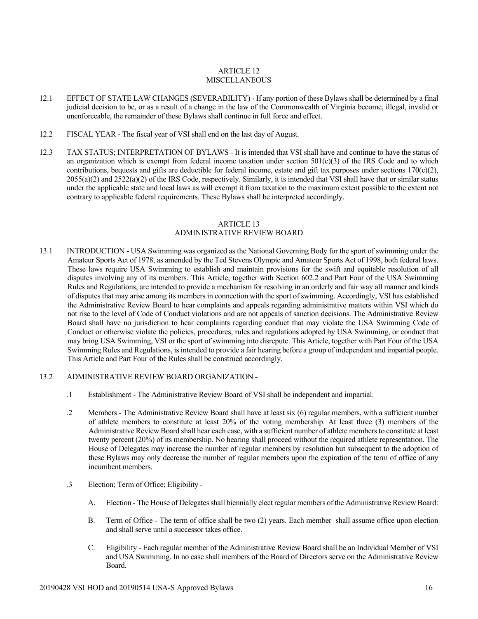## ARTICLE 12 MISCELLANEOUS

- 12.1 EFFECT OF STATE LAW CHANGES (SEVERABILITY) If any portion of these Bylaws shall be determined by a final judicial decision to be, or as a result of a change in the law of the Commonwealth of Virginia become, illegal, invalid or unenforceable, the remainder of these Bylaws shall continue in full force and effect.
- 12.2 FISCAL YEAR The fiscal year of VSI shall end on the last day of August.
- 12.3 TAX STATUS; INTERPRETATION OF BYLAWS It is intended that VSI shall have and continue to have the status of an organization which is exempt from federal income taxation under section  $501(c)(3)$  of the IRS Code and to which contributions, bequests and gifts are deductible for federal income, estate and gift tax purposes under sections  $170(c)(2)$ ,  $2055(a)(2)$  and  $2522(a)(2)$  of the IRS Code, respectively. Similarly, it is intended that VSI shall have that or similar status under the applicable state and local laws as will exempt it from taxation to the maximum extent possible to the extent not contrary to applicable federal requirements. These Bylaws shall be interpreted accordingly.

#### ARTICLE 13 ADMINISTRATIVE REVIEW BOARD

13.1 INTRODUCTION - USA Swimming was organized as the National Governing Body for the sport of swimming under the Amateur Sports Act of 1978, as amended by the Ted Stevens Olympic and Amateur Sports Act of 1998, both federal laws. These laws require USA Swimming to establish and maintain provisions for the swift and equitable resolution of all disputes involving any of its members. This Article, together with Section 602.2 and Part Four of the USA Swimming Rules and Regulations, are intended to provide a mechanism for resolving in an orderly and fair way all manner and kinds of disputes that may arise among its members in connection with the sport of swimming. Accordingly, VSI has established the Administrative Review Board to hear complaints and appeals regarding administrative matters within VSI which do not rise to the level of Code of Conduct violations and are not appeals of sanction decisions. The Administrative Review Board shall have no jurisdiction to hear complaints regarding conduct that may violate the USA Swimming Code of Conduct or otherwise violate the policies, procedures, rules and regulations adopted by USA Swimming, or conduct that may bring USA Swimming, VSI or the sport of swimming into disrepute. This Article, together with Part Four of the USA Swimming Rules and Regulations, is intended to provide a fair hearing before a group of independent and impartial people. This Article and Part Four of the Rules shall be construed accordingly.

## 13.2 ADMINISTRATIVE REVIEW BOARD ORGANIZATION -

- .1 Establishment The Administrative Review Board of VSI shall be independent and impartial.
- .2 Members The Administrative Review Board shall have at least six (6) regular members, with a sufficient number of athlete members to constitute at least 20% of the voting membership. At least three (3) members of the Administrative Review Board shall hear each case, with a sufficient number of athlete members to constitute at least twenty percent (20%) of its membership. No hearing shall proceed without the required athlete representation. The House of Delegates may increase the number of regular members by resolution but subsequent to the adoption of these Bylaws may only decrease the number of regular members upon the expiration of the term of office of any incumbent members.
- .3 Election; Term of Office; Eligibility
	- A. Election The House of Delegates shall biennially elect regular members of the Administrative Review Board:
	- B. Term of Office The term of office shall be two (2) years. Each member shall assume office upon election and shall serve until a successor takes office.
	- C. Eligibility Each regular member of the Administrative Review Board shall be an Individual Member of VSI and USA Swimming. In no case shall members of the Board of Directors serve on the Administrative Review Board.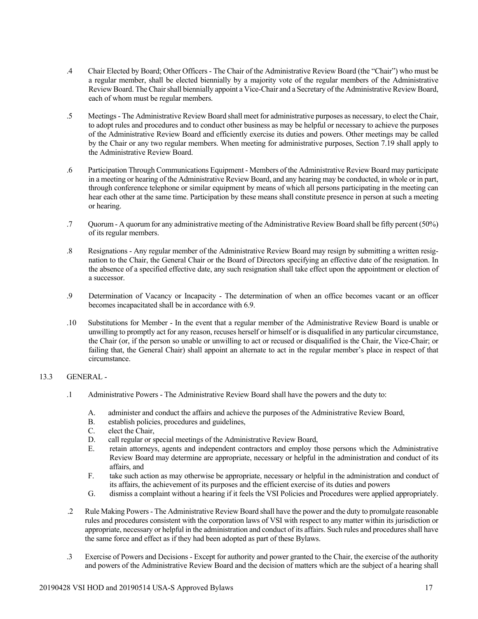- .4 Chair Elected by Board; Other Officers The Chair of the Administrative Review Board (the "Chair") who must be a regular member, shall be elected biennially by a majority vote of the regular members of the Administrative Review Board. The Chair shall biennially appoint a Vice-Chair and a Secretary of the Administrative Review Board, each of whom must be regular members.
- .5 Meetings- The Administrative Review Board shall meet for administrative purposes as necessary, to elect the Chair, to adopt rules and procedures and to conduct other business as may be helpful or necessary to achieve the purposes of the Administrative Review Board and efficiently exercise its duties and powers. Other meetings may be called by the Chair or any two regular members. When meeting for administrative purposes, Section 7.19 shall apply to the Administrative Review Board.
- .6 Participation Through Communications Equipment Members of the Administrative Review Board may participate in a meeting or hearing of the Administrative Review Board, and any hearing may be conducted, in whole or in part, through conference telephone or similar equipment by means of which all persons participating in the meeting can hear each other at the same time. Participation by these means shall constitute presence in person at such a meeting or hearing.
- .7 Quorum A quorum for any administrative meeting of the Administrative Review Board shall be fifty percent (50%) of its regular members.
- .8 Resignations Any regular member of the Administrative Review Board may resign by submitting a written resignation to the Chair, the General Chair or the Board of Directors specifying an effective date of the resignation. In the absence of a specified effective date, any such resignation shall take effect upon the appointment or election of a successor.
- .9 Determination of Vacancy or Incapacity The determination of when an office becomes vacant or an officer becomes incapacitated shall be in accordance with 6.9.
- .10 Substitutions for Member In the event that a regular member of the Administrative Review Board is unable or unwilling to promptly act for any reason, recuses herself or himself or is disqualified in any particular circumstance, the Chair (or, if the person so unable or unwilling to act or recused or disqualified is the Chair, the Vice-Chair; or failing that, the General Chair) shall appoint an alternate to act in the regular member's place in respect of that circumstance.

## 13.3 GENERAL -

- .1 Administrative Powers The Administrative Review Board shall have the powers and the duty to:
	- A. administer and conduct the affairs and achieve the purposes of the Administrative Review Board,
	- B. establish policies, procedures and guidelines,
	- C. elect the Chair,
	- D. call regular or special meetings of the Administrative Review Board,
	- E. retain attorneys, agents and independent contractors and employ those persons which the Administrative Review Board may determine are appropriate, necessary or helpful in the administration and conduct of its affairs, and
	- F. take such action as may otherwise be appropriate, necessary or helpful in the administration and conduct of its affairs, the achievement of its purposes and the efficient exercise of its duties and powers
	- G. dismiss a complaint without a hearing if it feels the VSI Policies and Procedures were applied appropriately.
- .2 Rule Making Powers- The Administrative Review Board shall have the power and the duty to promulgate reasonable rules and procedures consistent with the corporation laws of VSI with respect to any matter within its jurisdiction or appropriate, necessary or helpful in the administration and conduct of its affairs. Such rules and procedures shall have the same force and effect as if they had been adopted as part of these Bylaws.
- .3 Exercise of Powers and Decisions Except for authority and power granted to the Chair, the exercise of the authority and powers of the Administrative Review Board and the decision of matters which are the subject of a hearing shall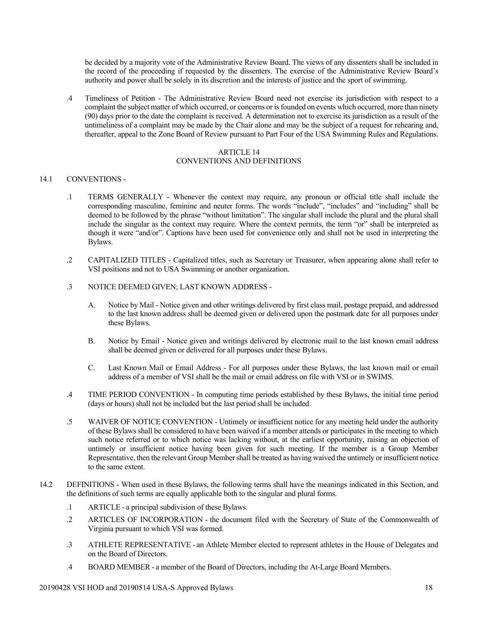be decided by a majority vote of the Administrative Review Board. The views of any dissenters shall be included in the record of the proceeding if requested by the dissenters. The exercise of the Administrative Review Board's authority and power shall be solely in its discretion and the interests of justice and the sport of swimming.

.4 Timeliness of Petition - The Administrative Review Board need not exercise its jurisdiction with respect to a complaint the subject matter of which occurred, or concerns or is founded on events which occurred, more than ninety (90) days prior to the date the complaint is received. A determination not to exercise its jurisdiction as a result of the untimeliness of a complaint may be made by the Chair alone and may be the subject of a request for rehearing and, thereafter, appeal to the Zone Board of Review pursuant to Part Four of the USA Swimming Rules and Regulations.

#### ARTICLE 14

## CONVENTIONS AND DEFINITIONS

#### 14.1 CONVENTIONS -

- .1 TERMS GENERALLY Whenever the context may require, any pronoun or official title shall include the corresponding masculine, feminine and neuter forms. The words "include", "includes" and "including" shall be deemed to be followed by the phrase "without limitation". The singular shall include the plural and the plural shall include the singular as the context may require. Where the context permits, the term "or" shall be interpreted as though it were "and/or". Captions have been used for convenience only and shall not be used in interpreting the Bylaws.
- .2 CAPITALIZED TITLES Capitalized titles, such as Secretary or Treasurer, when appearing alone shall refer to VSI positions and not to USA Swimming or another organization.
- .3 NOTICE DEEMED GIVEN; LAST KNOWN ADDRESS
	- A. Notice by Mail Notice given and other writings delivered by first class mail, postage prepaid, and addressed to the last known address shall be deemed given or delivered upon the postmark date for all purposes under these Bylaws.
	- B. Notice by Email Notice given and writings delivered by electronic mail to the last known email address shall be deemed given or delivered for all purposes under these Bylaws.
	- C. Last Known Mail or Email Address For all purposes under these Bylaws, the last known mail or email address of a member of VSI shall be the mail or email address on file with VSI or in SWIMS.
- .4 TIME PERIOD CONVENTION In computing time periods established by these Bylaws, the initial time period (days or hours) shall not be included but the last period shall be included.
- .5 WAIVER OF NOTICE CONVENTION Untimely or insufficient notice for any meeting held under the authority of these Bylaws shall be considered to have been waived if a member attends or participates in the meeting to which such notice referred or to which notice was lacking without, at the earliest opportunity, raising an objection of untimely or insufficient notice having been given for such meeting. If the member is a Group Member Representative, then the relevant Group Member shall be treated as having waived the untimely or insufficient notice to the same extent.
- 14.2 DEFINITIONS When used in these Bylaws, the following terms shall have the meanings indicated in this Section, and the definitions of such terms are equally applicable both to the singular and plural forms.
	- .1 ARTICLE a principal subdivision of these Bylaws.
	- .2 ARTICLES OF INCORPORATION the document filed with the Secretary of State of the Commonwealth of Virginia pursuant to which VSI was formed.
	- .3 ATHLETE REPRESENTATIVE an Athlete Member elected to represent athletes in the House of Delegates and on the Board of Directors.
	- .4 BOARD MEMBER a member of the Board of Directors, including the At-Large Board Members.